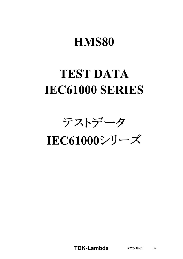# **HMS80**

# **TEST DATA IEC61000 SERIES**

テストデータ

IEC61000シリーズ

**TDK-Lambda**  $A276-58-01$  1/9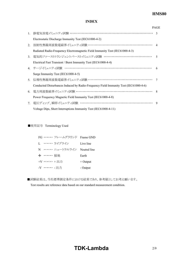## **HMS80**

### **INDEX**

|                |                                                                                      | <b>PAGE</b>  |
|----------------|--------------------------------------------------------------------------------------|--------------|
| 1.             | 静電気放電イミュニティ試験 ……………………………………………………………… 3                                             |              |
|                | Electrostatic Discharge Immunity Test (IEC61000-4-2)                                 |              |
| 2.             | 放射性無線周波数電磁界イミュニティ試験 ………………………………………………… 4                                            |              |
|                | Radiated Radio-Frequency Electromagnetic Field Immunity Test (IEC61000-4-3)          |              |
| 3 <sub>1</sub> | 電気的ファーストトランジェントバーストイミュニティ試験 …………………………………                                            | $\zeta$      |
|                | Electrical Fast Transient / Burst Immunity Test (IEC61000-4-4)                       |              |
|                | 4. サージイミュニティ試験 ……………………………………………………………                                               | 6            |
|                | Surge Immunity Test (IEC61000-4-5)                                                   |              |
| 5 <sub>1</sub> | 伝導性無線周波数電磁界イミュニティ試験 ………………………………………………                                               | 7            |
|                | Conducted Disturbances Induced by Radio-Frequency Field Immunity Test (IEC61000-4-6) |              |
| 6.             | 電力周波数磁界イミュニティ試験 ………………………………………………………                                                | $\mathbf{8}$ |
|                | Power Frequency Magnetic Field Immunity Test (IEC61000-4-8)                          |              |
| 7.             | 電圧ディップ、瞬停イミュニティ試験 ……………………………………………………                                               | $\mathbf Q$  |
|                | Voltage Dips, Short Interruptions Immunity Test (IEC61000-4-11)                      |              |

■使用記号 Terminology Used

| FG …… フレームグラウンド Frame GND   |            |
|-----------------------------|------------|
| I. ・・・・・・・ ライブライン           | Live line  |
| N …… ニュートラルライン Neutral line |            |
| → …… 接地                     | Earth      |
| +V …… +出力                   | $+$ Output |
| -V …… - 出力                  | - Output   |

■試験結果は、当社標準測定条件における結果であり、参考値としてお考え願います。

Test results are reference data based on our standard measurement condition.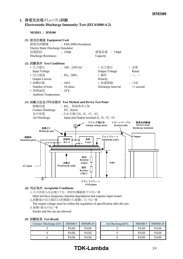## **1. Electrostatic Discharge Immunity Test (IEC6100042)**

**MODEL : HMS80**



### **(4) Acceptable Conditions**

1.入力再投入を必要とする一時的な機能低下のない事 Must not have temporary function degradation that requires input restart.

2.試験後の出力電圧は初期値から変動していない事

The output voltage must be within the regulation of specification after the test.

3.発煙・発火のない事

Smoke and fire are not allowed.

|  |  | (5) 試験結果 Test Result |
|--|--|----------------------|
|--|--|----------------------|

| Contact Discharge (kV) | <b>HMS80-5</b> | HMS80-24    | Air Discharge $(kV)$ | <b>HMS80-5</b> | <b>HMS80-</b> |
|------------------------|----------------|-------------|----------------------|----------------|---------------|
|                        | <b>PASS</b>    | <b>PASS</b> |                      | <b>PASS</b>    | <b>PASS</b>   |
|                        | <b>PASS</b>    | <b>PASS</b> |                      | <b>PASS</b>    | <b>PASS</b>   |
|                        | <b>PASS</b>    | <b>PASS</b> |                      | <b>PASS</b>    | <b>PASS</b>   |

# **TDK-Lambda** 3/9

HMS80-5 HMS80-24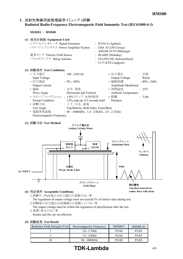## 2. 放射性無線周波数電磁界イミュニティ試験 **Radiated RadioFrequency Electromagnetic Field Immunity Test (IEC6100043)**

**MODEL : HMS80**

| (1) | 使用計測器 Equipment Used              |                                 |
|-----|-----------------------------------|---------------------------------|
|     | シグナルジェネレータ Signal Generator       | : N5181A (Agilent)              |
|     | パワーアンプシステム Power Amplifier System | $\therefore$ CBA 1G-250 (Teseq) |
|     |                                   | : AS0104-55/55 (Milmega)        |
|     | 電界センサ Electric Field Sensor       | : HI-6005 (Holaday)             |
|     | バイログアンテナ Bilog Antenna            | : VULP9118E (Schwarzbeck)       |
|     |                                   | $: 3117$ (ETS Lindgren)         |
|     | (2) 試験条件 Test Conditions          |                                 |

| $H = 1$                   |                                                |                     |                          |
|---------------------------|------------------------------------------------|---------------------|--------------------------|
| • 入力電圧                    | : $100, 230 \text{VAC}$                        | • 出力電圧              | :定格                      |
| Input Voltage             |                                                | Output Voltage      | Rated                    |
| • 出力電流                    | : $0\%$ , $100\%$                              | • 振幅変調              | $: 80\%$ , 1kHz          |
| <b>Output Current</b>     |                                                | Amplitude Modulated |                          |
| • 偏波                      | :水平、垂直                                         | • 周囲温度              | $\div$ 25 <sup>o</sup> C |
| Wave Angle                | Horizontal and Vertical                        | Ambient Temperature |                          |
|                           | • スイープ・コンディション : 1.0%ステップ、0.5秒保持               | • 距離                | : 3.0m                   |
| Sweep Condition           | $1.0\%$ step up, 0.5 seconds hold              | Distance            |                          |
| • 試験方向                    | : 上下、左右、前後                                     |                     |                          |
| Test Angle                | Top/Bottom, Both Sides, Front/Back             |                     |                          |
| • 電磁界周波数                  | : $80 - 1000 MHz$ , 1.4 - 2.0GHz, 2.0 - 2.7GHz |                     |                          |
| Electromagnetic Frequency |                                                |                     |                          |

#### **(3) Test Method**



#### **(4) Acceptable Conditions**

1.試験中、5%を超える出力電圧の変動のない事 The regulation of output voltage must not exceed 5% of initial value during test. 2.試験後の出力電圧は初期値から変動していない事

The output voltage must be within the regulation of specification after the test. 3.発煙・発火のない事

Smoke and fire are not allowed.

#### **(5) Test Result**

| Radiation Field Strength (V/m) | Electromagnetic Frequency | <b>HMS80-5</b> | HMS80-24    |
|--------------------------------|---------------------------|----------------|-------------|
|                                | $2.0 - 2.7$ GHz           | <b>PASS</b>    | <b>PASS</b> |
|                                | $1.4 - 2.0$ GHz           | <b>PASS</b>    | <b>PASS</b> |
|                                | $80 - 1000 MHz$           | <b>PASS</b>    | <b>PASS</b> |

# **TDK-Lambda** 4/9

**reduce floor reflections**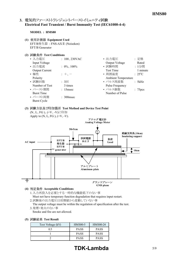## 3. 電気的ファーストトランジェントバーストイミュニティ試験 **Electrical Fast Transient / Burst Immunity Test (IEC6100044)**

#### **MODEL : HMS80**

- **(1) Equipment Used** EFT/B発生器 : FNSAXⅡ (Noiseken) EFT/B Generator
- **(2) Test Conditions**

| • 入力電圧                | : $100, 230$ VAC      | • 出力電圧                     | :定格                 |
|-----------------------|-----------------------|----------------------------|---------------------|
| Input Voltage         |                       | Output Voltage             | Rated               |
| • 出力電流                | : $0\%$ , $100\%$     | • 試験時間                     | : 1分間               |
| <b>Output Current</b> |                       | <b>Test Time</b>           | 1 minute            |
| • 極性                  | $+,-$                 | • 周囲温度                     | $: 25^{\circ}C$     |
| Polarity              |                       | <b>Ambient Temperature</b> |                     |
| • 試験回数                | $: 3 \square$         | • パルス周波数                   | : 5kHz              |
| Number of Test        | 3 times               | <b>Pulse Frequency</b>     |                     |
| • バースト期間              | : 15msec              | • パルス個数                    | : 75 <sub>pcs</sub> |
| <b>Burst Time</b>     |                       | Number of Pulse            |                     |
| • バースト周期              | $\therefore$ 300 msec |                            |                     |
| <b>Burst Cycle</b>    |                       |                            |                     |

# **(3) Test Method and Device Test Point**



- 1.入力再投入を必要とする一時的な機能低下のない事 Must not have temporary function degradation that requires input restart.
- 2.試験後の出力電圧は初期値から変動していない事
- The output voltage must be within the regulation of specification after the test. 3.発煙・発火のない事

Smoke and fire are not allowed.

**(5) Test Result**

| Test Voltage (kV) | <b>HMS80-5</b> | HMS80-24    |
|-------------------|----------------|-------------|
| 05                | <b>PASS</b>    | <b>PASS</b> |
|                   | <b>PASS</b>    | <b>PASS</b> |
|                   | <b>PASS</b>    | <b>PASS</b> |

# **TDK-Lambda** 5/9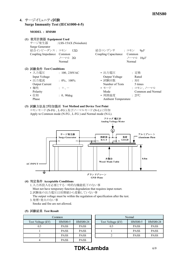## **4. Surge Immunity Test (IEC6100045)**

#### **MODEL : HMS80**

| 使用計測器 Equipment Used<br>(1)<br><b>Surge Generator</b><br>結合インピーダンス: コモン 12Ω<br>Coupling Impedance Common                    | サージ発生器 : LSS-15AX (Noiseken)<br>ノーマル 2Ω<br>Normal                   | 結合コンデンサ : コモン<br>Coupling Capacitance                                                                          | $9 \mu F$<br>Common<br>ノーマル 18µF<br>Normal                                        |
|-----------------------------------------------------------------------------------------------------------------------------|---------------------------------------------------------------------|----------------------------------------------------------------------------------------------------------------|-----------------------------------------------------------------------------------|
| (2) 試験条件 Test Conditions<br>• 入力雷圧<br>Input Voltage<br>• 出力電流<br><b>Output Current</b><br>• 極性<br>Polarity<br>• 位相<br>Phase | $: 100, 230 \text{VAC}$<br>$: 0\%$ , 100%<br>$: +$<br>$: 0, 90$ deg | • 出力電圧<br>Output Voltage<br>• 試験回数<br>Number of Tests<br>• モード<br>Mode<br>• 周囲温度<br><b>Ambient Temperature</b> | ・ 定格<br>Rated<br>: 5<br>5 times<br>: コモン、ノーマル<br>Common and Normal<br>$\div$ 25°C |

**(3) Test Method and Device Test Point** コモンモード (NFG 、LFG ) 及びノーマルモード (NL) に印加 Apply to Common mode (N-FG, L-FG) and Normal mode (N-L).



#### **(4) Acceptable Conditions**

- 1.入力再投入を必要とする一時的な機能低下のない事 Must not have temporary function degradation that requires input restart.
- 2.試験後の出力電圧は初期値から変動していない事
- The output voltage must be within the regulation of specification after the test. 3.発煙・発火のない事
- Smoke and fire are not allowed.

#### **(5) Test Result**

| Common            |                |                 |                   |
|-------------------|----------------|-----------------|-------------------|
| Test Voltage (kV) | <b>HMS80-5</b> | <b>HMS80-24</b> | Test Voltage (kV) |
| 0.5               | <b>PASS</b>    | <b>PASS</b>     | 0.5               |
|                   | <b>PASS</b>    | <b>PASS</b>     |                   |
|                   | <b>PASS</b>    | <b>PASS</b>     |                   |
|                   | <b>PASS</b>    | <b>PASS</b>     |                   |

| Common                            |             | Normal            |                |             |  |
|-----------------------------------|-------------|-------------------|----------------|-------------|--|
| <b>HMS80-24</b><br><b>HMS80-5</b> |             | Test Voltage (kV) | <b>HMS80-5</b> | HMS80-24    |  |
| <b>PASS</b>                       | <b>PASS</b> | 0.5               | <b>PASS</b>    | <b>PASS</b> |  |
| <b>PASS</b>                       | <b>PASS</b> |                   | <b>PASS</b>    | <b>PASS</b> |  |
| <b>PASS</b>                       | <b>PASS</b> |                   | <b>PASS</b>    | <b>PASS</b> |  |
|                                   |             |                   |                |             |  |

# **TDK-Lambda** 6/9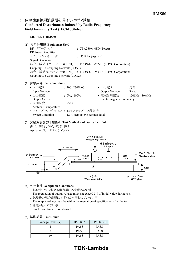## 5. 伝導性無線周波数電磁界イミュニティ試験 **Conducted Disturbances Induced by RadioFrequency** Field Immunity Test (IEC61000-4-6)

**MODEL : HMS80**

#### **(1) Equipment Used**

 $RF \sim \mathcal{PT} \sim \mathcal{TP}$  : CBA230M-08D (Teseq) RF Power Amplifier シグナルジェネレータ : N5181A (Agilent) Signal Generator 結合/減結合ネットワーク(CDN1) : TCDN-801-M2-16 (TOYO Corporation) Coupling De-Coupling Network (CDN1) 結合/減結合ネットワーク(CDN2) : TCDN-801-M3-16 (TOYO Corporation) Coupling De-Coupling Network (CDN2)

#### **(2) Test Conditions**

| • 入力電圧                          | : $100, 230$ VAC                  | • 出力電圧                    | : 定格               |
|---------------------------------|-----------------------------------|---------------------------|--------------------|
| Input Voltage                   |                                   | Output Voltage            | Rated              |
| • 出力電流                          | : $0\%$ , $100\%$                 | • 電磁界周波数                  | $: 150kHz - 80MHz$ |
| <b>Output Current</b>           |                                   | Electromagnetic Frequency |                    |
| • 周囲温度                          | $\cdot$ 25°C                      |                           |                    |
| <b>Ambient Temperature</b>      |                                   |                           |                    |
| • スイープ·コンディション: 1.0%ステップ、0.5秒保持 |                                   |                           |                    |
| Sweep Condition                 | $1.0\%$ step up, 0.5 seconds hold |                           |                    |

#### **(3) Test Method and Device Test Point** (N、L、FG)、(+V、-V)に印加 Apply to  $(N, L, FG)$ ,  $(+V, -V)$ .



#### **(4) Acceptable Conditions**

- 1.試験中、5%を超える出力電圧の変動のない事 The regulation of output voltage must not exceed 5% of initial value during test.
- 2.試験後の出力電圧は初期値から変動していない事

The output voltage must be within the regulation of specification after the test. 3.発煙・発火のない事

Smoke and fire are not allowed.

| Voltage Level (V) | <b>HMS80-5</b> | HMS80-24    |  |  |  |
|-------------------|----------------|-------------|--|--|--|
|                   | <b>PASS</b>    | <b>PASS</b> |  |  |  |
|                   | <b>PASS</b>    | <b>PASS</b> |  |  |  |
|                   | <b>PASS</b>    | <b>PASS</b> |  |  |  |

# **TDK-Lambda** 7/9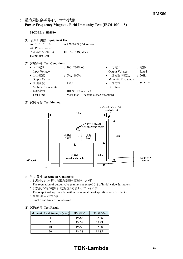## 6. 電力周波数磁界イミュニティ試験 **Power Frequency Magnetic Field Immunity Test (IEC6100048)**

#### **MODEL : HMS80**

- **(1) Equipment Used**
	- ACパワーソース : AA2000XG (Takasago) AC Power Source ヘルムホルツコイル : HHS5215 (Spulen) Helmholts Coil

#### **(2) Test Conditions**

| : $100, 230$ VAC  | • 出力電圧                    | : 定格                                  |
|-------------------|---------------------------|---------------------------------------|
|                   | Output Voltage            | Rated                                 |
| : $0\%$ , $100\%$ | • 印加磁界周波数                 | : 50Hz                                |
|                   | <b>Magnetic Frequency</b> |                                       |
| $\div$ 25°C       | • 印加方向                    | :X, Y, Z                              |
|                   | Direction                 |                                       |
| : 10秒以上(各方向)      |                           |                                       |
|                   |                           |                                       |
|                   |                           | More than 10 seconds (each direction) |

#### **(3) Test Method**



#### **(4) Acceptable Conditions**

1.試験中、5%を超える出力電圧の変動のない事

The regulation of output voltage must not exceed 5% of initial value during test. 2.試験後の出力電圧は初期値から変動していない事

The output voltage must be within the regulation of specification after the test. 3.発煙・発火のない事

Smoke and fire are not allowed.

#### **(5) Test Result**

| Magnetic Field Strength $(A/m)$ | <b>HMS80-5</b> | HMS80-24    |
|---------------------------------|----------------|-------------|
|                                 | <b>PASS</b>    | <b>PASS</b> |
|                                 | <b>PASS</b>    | <b>PASS</b> |
|                                 | <b>PASS</b>    | <b>PASS</b> |
|                                 | <b>PASS</b>    | <b>PASS</b> |

# **TDK-Lambda** 8/9